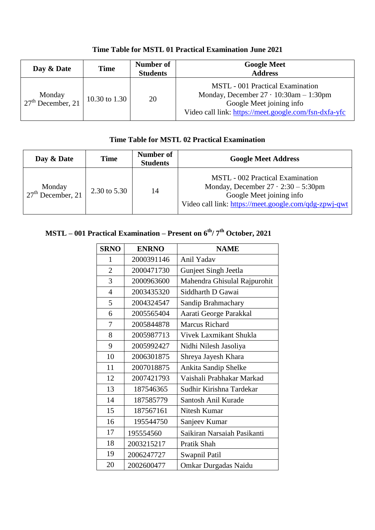| Day & Date                    | Time          | Number of<br><b>Students</b> | <b>Google Meet</b><br><b>Address</b>                                                                                                                                            |
|-------------------------------|---------------|------------------------------|---------------------------------------------------------------------------------------------------------------------------------------------------------------------------------|
| Monday<br>$27th$ December, 21 | 10.30 to 1.30 | 20                           | <b>MSTL</b> - 001 Practical Examination<br>Monday, December $27 \cdot 10:30$ am $-1:30$ pm<br>Google Meet joining info<br>Video call link: https://meet.google.com/fsn-dxfa-yfc |

## **Time Table for MSTL 02 Practical Examination**

| Day & Date                    | Time         | Number of<br><b>Students</b> | <b>Google Meet Address</b>                                                                                                                                                 |
|-------------------------------|--------------|------------------------------|----------------------------------------------------------------------------------------------------------------------------------------------------------------------------|
| Monday<br>$27th$ December, 21 | 2.30 to 5.30 | 14                           | <b>MSTL</b> - 002 Practical Examination<br>Monday, December $27 \cdot 2:30 - 5:30$ pm<br>Google Meet joining info<br>Video call link: https://meet.google.com/qdg-zpwj-qwt |

## **MSTL – 001 Practical Examination – Present on 6th/ 7th October, 2021**

| <b>SRNO</b>    | <b>ENRNO</b> | <b>NAME</b>                  |
|----------------|--------------|------------------------------|
| 1              | 2000391146   | Anil Yadav                   |
| $\overline{2}$ | 2000471730   | Gunjeet Singh Jeetla         |
| 3              | 2000963600   | Mahendra Ghisulal Rajpurohit |
| $\overline{4}$ | 2003435320   | Siddharth D Gawai            |
| 5              | 2004324547   | Sandip Brahmachary           |
| 6              | 2005565404   | Aarati George Parakkal       |
| 7              | 2005844878   | <b>Marcus Richard</b>        |
| 8              | 2005987713   | Vivek Laxmikant Shukla       |
| 9              | 2005992427   | Nidhi Nilesh Jasoliya        |
| 10             | 2006301875   | Shreya Jayesh Khara          |
| 11             | 2007018875   | Ankita Sandip Shelke         |
| 12             | 2007421793   | Vaishali Prabhakar Markad    |
| 13             | 187546365    | Sudhir Kirishna Tardekar     |
| 14             | 187585779    | Santosh Anil Kurade          |
| 15             | 187567161    | Nitesh Kumar                 |
| 16             | 195544750    | Sanjeev Kumar                |
| 17             | 195554560    | Saikiran Narsaiah Pasikanti  |
| 18             | 2003215217   | Pratik Shah                  |
| 19             | 2006247727   | Swapnil Patil                |
| 20             | 2002600477   | Omkar Durgadas Naidu         |